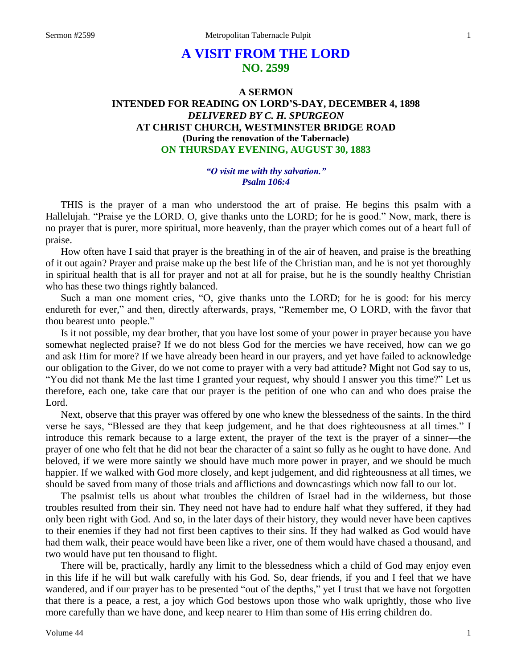# **A VISIT FROM THE LORD NO. 2599**

## **A SERMON INTENDED FOR READING ON LORD'S-DAY, DECEMBER 4, 1898** *DELIVERED BY C. H. SPURGEON* **AT CHRIST CHURCH, WESTMINSTER BRIDGE ROAD (During the renovation of the Tabernacle) ON THURSDAY EVENING, AUGUST 30, 1883**

## *"O visit me with thy salvation." Psalm 106:4*

THIS is the prayer of a man who understood the art of praise. He begins this psalm with a Hallelujah. "Praise ye the LORD. O, give thanks unto the LORD; for he is good." Now, mark, there is no prayer that is purer, more spiritual, more heavenly, than the prayer which comes out of a heart full of praise.

How often have I said that prayer is the breathing in of the air of heaven, and praise is the breathing of it out again? Prayer and praise make up the best life of the Christian man, and he is not yet thoroughly in spiritual health that is all for prayer and not at all for praise, but he is the soundly healthy Christian who has these two things rightly balanced.

Such a man one moment cries, "O, give thanks unto the LORD; for he is good: for his mercy endureth for ever," and then, directly afterwards, prays, "Remember me, O LORD, with the favor that thou bearest unto people."

Is it not possible, my dear brother, that you have lost some of your power in prayer because you have somewhat neglected praise? If we do not bless God for the mercies we have received, how can we go and ask Him for more? If we have already been heard in our prayers, and yet have failed to acknowledge our obligation to the Giver, do we not come to prayer with a very bad attitude? Might not God say to us, "You did not thank Me the last time I granted your request, why should I answer you this time?" Let us therefore, each one, take care that our prayer is the petition of one who can and who does praise the Lord.

Next, observe that this prayer was offered by one who knew the blessedness of the saints. In the third verse he says, "Blessed are they that keep judgement, and he that does righteousness at all times." I introduce this remark because to a large extent, the prayer of the text is the prayer of a sinner—the prayer of one who felt that he did not bear the character of a saint so fully as he ought to have done. And beloved, if we were more saintly we should have much more power in prayer, and we should be much happier. If we walked with God more closely, and kept judgement, and did righteousness at all times, we should be saved from many of those trials and afflictions and downcastings which now fall to our lot.

The psalmist tells us about what troubles the children of Israel had in the wilderness, but those troubles resulted from their sin. They need not have had to endure half what they suffered, if they had only been right with God. And so, in the later days of their history, they would never have been captives to their enemies if they had not first been captives to their sins. If they had walked as God would have had them walk, their peace would have been like a river, one of them would have chased a thousand, and two would have put ten thousand to flight.

There will be, practically, hardly any limit to the blessedness which a child of God may enjoy even in this life if he will but walk carefully with his God. So, dear friends, if you and I feel that we have wandered, and if our prayer has to be presented "out of the depths," yet I trust that we have not forgotten that there is a peace, a rest, a joy which God bestows upon those who walk uprightly, those who live more carefully than we have done, and keep nearer to Him than some of His erring children do.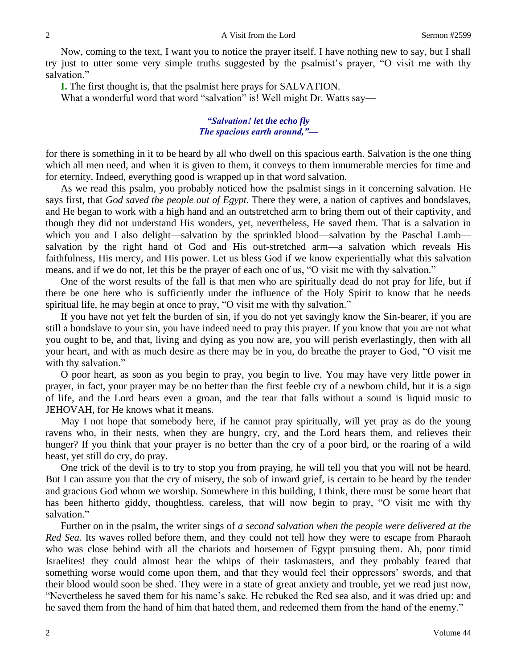Now, coming to the text, I want you to notice the prayer itself. I have nothing new to say, but I shall try just to utter some very simple truths suggested by the psalmist's prayer, "O visit me with thy salvation."

**I.** The first thought is, that the psalmist here prays for SALVATION.

What a wonderful word that word "salvation" is! Well might Dr. Watts say—

## *"Salvation! let the echo fly The spacious earth around,"—*

for there is something in it to be heard by all who dwell on this spacious earth. Salvation is the one thing which all men need, and when it is given to them, it conveys to them innumerable mercies for time and for eternity. Indeed, everything good is wrapped up in that word salvation.

As we read this psalm, you probably noticed how the psalmist sings in it concerning salvation. He says first, that *God saved the people out of Egypt.* There they were, a nation of captives and bondslaves, and He began to work with a high hand and an outstretched arm to bring them out of their captivity, and though they did not understand His wonders, yet, nevertheless, He saved them. That is a salvation in which you and I also delight—salvation by the sprinkled blood—salvation by the Paschal Lamb salvation by the right hand of God and His out-stretched arm—a salvation which reveals His faithfulness, His mercy, and His power. Let us bless God if we know experientially what this salvation means, and if we do not, let this be the prayer of each one of us, "O visit me with thy salvation."

One of the worst results of the fall is that men who are spiritually dead do not pray for life, but if there be one here who is sufficiently under the influence of the Holy Spirit to know that he needs spiritual life, he may begin at once to pray, "O visit me with thy salvation."

If you have not yet felt the burden of sin, if you do not yet savingly know the Sin-bearer, if you are still a bondslave to your sin, you have indeed need to pray this prayer. If you know that you are not what you ought to be, and that, living and dying as you now are, you will perish everlastingly, then with all your heart, and with as much desire as there may be in you, do breathe the prayer to God, "O visit me with thy salvation."

O poor heart, as soon as you begin to pray, you begin to live. You may have very little power in prayer, in fact, your prayer may be no better than the first feeble cry of a newborn child, but it is a sign of life, and the Lord hears even a groan, and the tear that falls without a sound is liquid music to JEHOVAH, for He knows what it means.

May I not hope that somebody here, if he cannot pray spiritually, will yet pray as do the young ravens who, in their nests, when they are hungry, cry, and the Lord hears them, and relieves their hunger? If you think that your prayer is no better than the cry of a poor bird, or the roaring of a wild beast, yet still do cry, do pray.

One trick of the devil is to try to stop you from praying, he will tell you that you will not be heard. But I can assure you that the cry of misery, the sob of inward grief, is certain to be heard by the tender and gracious God whom we worship. Somewhere in this building, I think, there must be some heart that has been hitherto giddy, thoughtless, careless, that will now begin to pray, "O visit me with thy salvation."

Further on in the psalm, the writer sings of *a second salvation when the people were delivered at the Red Sea.* Its waves rolled before them, and they could not tell how they were to escape from Pharaoh who was close behind with all the chariots and horsemen of Egypt pursuing them. Ah, poor timid Israelites! they could almost hear the whips of their taskmasters, and they probably feared that something worse would come upon them, and that they would feel their oppressors' swords, and that their blood would soon be shed. They were in a state of great anxiety and trouble, yet we read just now, "Nevertheless he saved them for his name's sake. He rebuked the Red sea also, and it was dried up: and he saved them from the hand of him that hated them, and redeemed them from the hand of the enemy."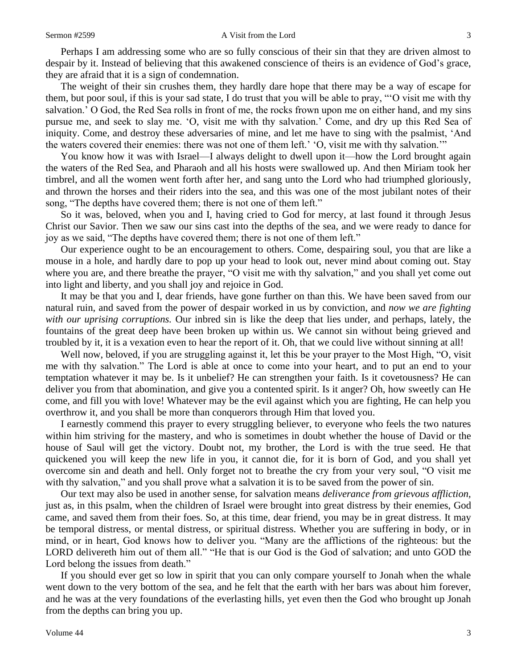Perhaps I am addressing some who are so fully conscious of their sin that they are driven almost to despair by it. Instead of believing that this awakened conscience of theirs is an evidence of God's grace, they are afraid that it is a sign of condemnation.

The weight of their sin crushes them, they hardly dare hope that there may be a way of escape for them, but poor soul, if this is your sad state, I do trust that you will be able to pray, "'O visit me with thy salvation.' O God, the Red Sea rolls in front of me, the rocks frown upon me on either hand, and my sins pursue me, and seek to slay me. 'O, visit me with thy salvation.' Come, and dry up this Red Sea of iniquity. Come, and destroy these adversaries of mine, and let me have to sing with the psalmist, 'And the waters covered their enemies: there was not one of them left.' 'O, visit me with thy salvation.'"

You know how it was with Israel—I always delight to dwell upon it—how the Lord brought again the waters of the Red Sea, and Pharaoh and all his hosts were swallowed up. And then Miriam took her timbrel, and all the women went forth after her, and sang unto the Lord who had triumphed gloriously, and thrown the horses and their riders into the sea, and this was one of the most jubilant notes of their song, "The depths have covered them; there is not one of them left."

So it was, beloved, when you and I, having cried to God for mercy, at last found it through Jesus Christ our Savior. Then we saw our sins cast into the depths of the sea, and we were ready to dance for joy as we said, "The depths have covered them; there is not one of them left."

Our experience ought to be an encouragement to others. Come, despairing soul, you that are like a mouse in a hole, and hardly dare to pop up your head to look out, never mind about coming out. Stay where you are, and there breathe the prayer, "O visit me with thy salvation," and you shall yet come out into light and liberty, and you shall joy and rejoice in God.

It may be that you and I, dear friends, have gone further on than this. We have been saved from our natural ruin, and saved from the power of despair worked in us by conviction, and *now we are fighting with our uprising corruptions.* Our inbred sin is like the deep that lies under, and perhaps, lately, the fountains of the great deep have been broken up within us. We cannot sin without being grieved and troubled by it, it is a vexation even to hear the report of it. Oh, that we could live without sinning at all!

Well now, beloved, if you are struggling against it, let this be your prayer to the Most High, "O, visit me with thy salvation." The Lord is able at once to come into your heart, and to put an end to your temptation whatever it may be. Is it unbelief? He can strengthen your faith. Is it covetousness? He can deliver you from that abomination, and give you a contented spirit. Is it anger? Oh, how sweetly can He come, and fill you with love! Whatever may be the evil against which you are fighting, He can help you overthrow it, and you shall be more than conquerors through Him that loved you.

I earnestly commend this prayer to every struggling believer, to everyone who feels the two natures within him striving for the mastery, and who is sometimes in doubt whether the house of David or the house of Saul will get the victory. Doubt not, my brother, the Lord is with the true seed. He that quickened you will keep the new life in you, it cannot die, for it is born of God, and you shall yet overcome sin and death and hell. Only forget not to breathe the cry from your very soul, "O visit me with thy salvation," and you shall prove what a salvation it is to be saved from the power of sin.

Our text may also be used in another sense, for salvation means *deliverance from grievous affliction,*  just as, in this psalm, when the children of Israel were brought into great distress by their enemies, God came, and saved them from their foes. So, at this time, dear friend, you may be in great distress. It may be temporal distress, or mental distress, or spiritual distress. Whether you are suffering in body, or in mind, or in heart, God knows how to deliver you. "Many are the afflictions of the righteous: but the LORD delivereth him out of them all." "He that is our God is the God of salvation; and unto GOD the Lord belong the issues from death."

If you should ever get so low in spirit that you can only compare yourself to Jonah when the whale went down to the very bottom of the sea, and he felt that the earth with her bars was about him forever, and he was at the very foundations of the everlasting hills, yet even then the God who brought up Jonah from the depths can bring you up.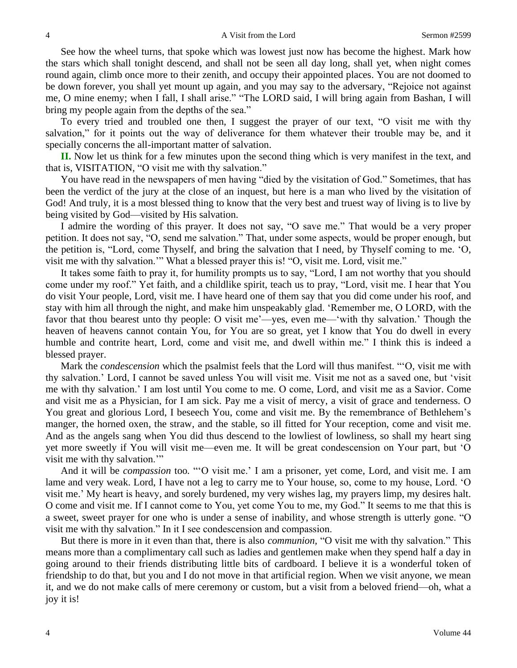See how the wheel turns, that spoke which was lowest just now has become the highest. Mark how the stars which shall tonight descend, and shall not be seen all day long, shall yet, when night comes round again, climb once more to their zenith, and occupy their appointed places. You are not doomed to be down forever, you shall yet mount up again, and you may say to the adversary, "Rejoice not against me, O mine enemy; when I fall, I shall arise." "The LORD said, I will bring again from Bashan, I will bring my people again from the depths of the sea."

To every tried and troubled one then, I suggest the prayer of our text, "O visit me with thy salvation," for it points out the way of deliverance for them whatever their trouble may be, and it specially concerns the all-important matter of salvation.

**II.** Now let us think for a few minutes upon the second thing which is very manifest in the text, and that is, VISITATION, "O visit me with thy salvation."

You have read in the newspapers of men having "died by the visitation of God." Sometimes, that has been the verdict of the jury at the close of an inquest, but here is a man who lived by the visitation of God! And truly, it is a most blessed thing to know that the very best and truest way of living is to live by being visited by God—visited by His salvation.

I admire the wording of this prayer. It does not say, "O save me." That would be a very proper petition. It does not say, "O, send me salvation." That, under some aspects, would be proper enough, but the petition is, "Lord, come Thyself, and bring the salvation that I need, by Thyself coming to me. 'O, visit me with thy salvation.'" What a blessed prayer this is! "O, visit me. Lord, visit me."

It takes some faith to pray it, for humility prompts us to say, "Lord, I am not worthy that you should come under my roof." Yet faith, and a childlike spirit, teach us to pray, "Lord, visit me. I hear that You do visit Your people, Lord, visit me. I have heard one of them say that you did come under his roof, and stay with him all through the night, and make him unspeakably glad. 'Remember me, O LORD, with the favor that thou bearest unto thy people: O visit me'—yes, even me—'with thy salvation.' Though the heaven of heavens cannot contain You, for You are so great, yet I know that You do dwell in every humble and contrite heart, Lord, come and visit me, and dwell within me." I think this is indeed a blessed prayer.

Mark the *condescension* which the psalmist feels that the Lord will thus manifest. "'O, visit me with thy salvation.' Lord, I cannot be saved unless You will visit me. Visit me not as a saved one, but 'visit me with thy salvation.' I am lost until You come to me. O come, Lord, and visit me as a Savior. Come and visit me as a Physician, for I am sick. Pay me a visit of mercy, a visit of grace and tenderness. O You great and glorious Lord, I beseech You, come and visit me. By the remembrance of Bethlehem's manger, the horned oxen, the straw, and the stable, so ill fitted for Your reception, come and visit me. And as the angels sang when You did thus descend to the lowliest of lowliness, so shall my heart sing yet more sweetly if You will visit me—even me. It will be great condescension on Your part, but 'O visit me with thy salvation."

And it will be *compassion* too*.* "'O visit me.' I am a prisoner, yet come, Lord, and visit me. I am lame and very weak. Lord, I have not a leg to carry me to Your house, so, come to my house, Lord. 'O visit me.' My heart is heavy, and sorely burdened, my very wishes lag, my prayers limp, my desires halt. O come and visit me. If I cannot come to You, yet come You to me, my God." It seems to me that this is a sweet, sweet prayer for one who is under a sense of inability, and whose strength is utterly gone. "O visit me with thy salvation." In it I see condescension and compassion.

But there is more in it even than that, there is also *communion,* "O visit me with thy salvation." This means more than a complimentary call such as ladies and gentlemen make when they spend half a day in going around to their friends distributing little bits of cardboard. I believe it is a wonderful token of friendship to do that, but you and I do not move in that artificial region. When we visit anyone, we mean it, and we do not make calls of mere ceremony or custom, but a visit from a beloved friend—oh, what a joy it is!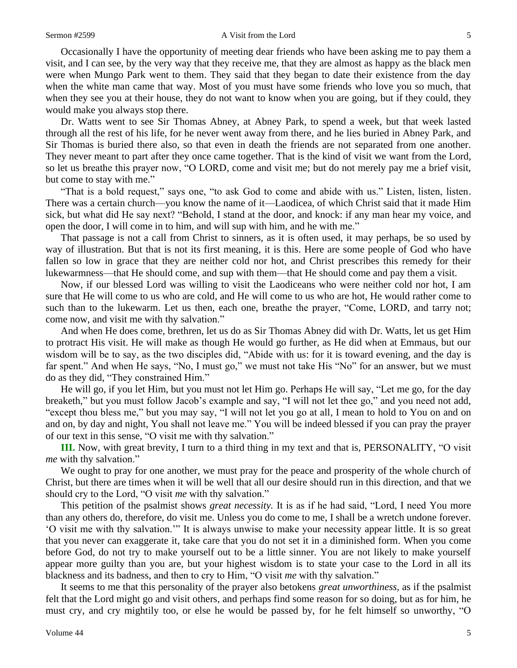#### Sermon #2599 A Visit from the Lord 5

Occasionally I have the opportunity of meeting dear friends who have been asking me to pay them a visit, and I can see, by the very way that they receive me, that they are almost as happy as the black men were when Mungo Park went to them. They said that they began to date their existence from the day when the white man came that way. Most of you must have some friends who love you so much, that when they see you at their house, they do not want to know when you are going, but if they could, they would make you always stop there.

Dr. Watts went to see Sir Thomas Abney, at Abney Park, to spend a week, but that week lasted through all the rest of his life, for he never went away from there, and he lies buried in Abney Park, and Sir Thomas is buried there also, so that even in death the friends are not separated from one another. They never meant to part after they once came together. That is the kind of visit we want from the Lord, so let us breathe this prayer now, "O LORD, come and visit me; but do not merely pay me a brief visit, but come to stay with me."

"That is a bold request," says one, "to ask God to come and abide with us." Listen, listen, listen. There was a certain church—you know the name of it—Laodicea, of which Christ said that it made Him sick, but what did He say next? "Behold, I stand at the door, and knock: if any man hear my voice, and open the door, I will come in to him, and will sup with him, and he with me."

That passage is not a call from Christ to sinners, as it is often used, it may perhaps, be so used by way of illustration. But that is not its first meaning, it is this. Here are some people of God who have fallen so low in grace that they are neither cold nor hot, and Christ prescribes this remedy for their lukewarmness—that He should come, and sup with them—that He should come and pay them a visit.

Now, if our blessed Lord was willing to visit the Laodiceans who were neither cold nor hot, I am sure that He will come to us who are cold, and He will come to us who are hot, He would rather come to such than to the lukewarm. Let us then, each one, breathe the prayer, "Come, LORD, and tarry not; come now, and visit me with thy salvation."

And when He does come, brethren, let us do as Sir Thomas Abney did with Dr. Watts, let us get Him to protract His visit. He will make as though He would go further, as He did when at Emmaus, but our wisdom will be to say, as the two disciples did, "Abide with us: for it is toward evening, and the day is far spent." And when He says, "No, I must go," we must not take His "No" for an answer, but we must do as they did, "They constrained Him."

He will go, if you let Him, but you must not let Him go. Perhaps He will say, "Let me go, for the day breaketh," but you must follow Jacob's example and say, "I will not let thee go," and you need not add, "except thou bless me," but you may say, "I will not let you go at all, I mean to hold to You on and on and on, by day and night, You shall not leave me." You will be indeed blessed if you can pray the prayer of our text in this sense, "O visit me with thy salvation."

**III.** Now, with great brevity, I turn to a third thing in my text and that is, PERSONALITY, "O visit *me* with thy salvation."

We ought to pray for one another, we must pray for the peace and prosperity of the whole church of Christ, but there are times when it will be well that all our desire should run in this direction, and that we should cry to the Lord, "O visit *me* with thy salvation."

This petition of the psalmist shows *great necessity.* It is as if he had said, "Lord, I need You more than any others do, therefore, do visit me. Unless you do come to me, I shall be a wretch undone forever. 'O visit me with thy salvation.'" It is always unwise to make your necessity appear little. It is so great that you never can exaggerate it, take care that you do not set it in a diminished form. When you come before God, do not try to make yourself out to be a little sinner. You are not likely to make yourself appear more guilty than you are, but your highest wisdom is to state your case to the Lord in all its blackness and its badness, and then to cry to Him, "O visit *me* with thy salvation."

It seems to me that this personality of the prayer also betokens *great unworthiness,* as if the psalmist felt that the Lord might go and visit others, and perhaps find some reason for so doing, but as for him, he must cry, and cry mightily too, or else he would be passed by, for he felt himself so unworthy, "O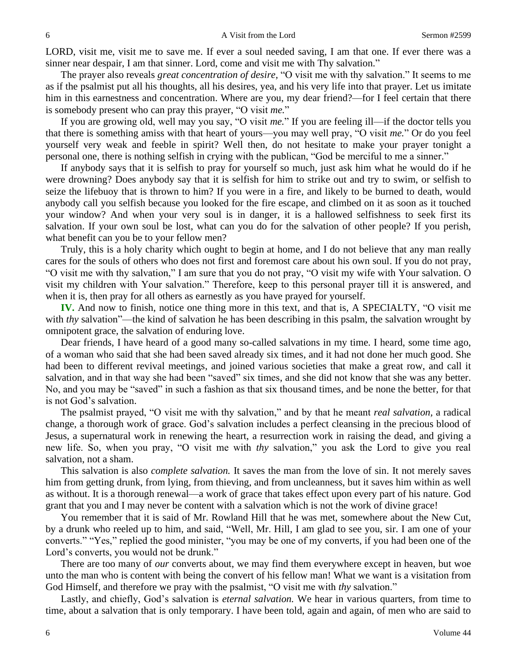LORD, visit me, visit me to save me. If ever a soul needed saving, I am that one. If ever there was a sinner near despair, I am that sinner. Lord, come and visit me with Thy salvation."

The prayer also reveals *great concentration of desire,* "O visit me with thy salvation." It seems to me as if the psalmist put all his thoughts, all his desires, yea, and his very life into that prayer. Let us imitate him in this earnestness and concentration. Where are you, my dear friend?—for I feel certain that there is somebody present who can pray this prayer, "O visit *me.*"

If you are growing old, well may you say, "O visit *me.*" If you are feeling ill—if the doctor tells you that there is something amiss with that heart of yours—you may well pray, "O visit *me.*" Or do you feel yourself very weak and feeble in spirit? Well then, do not hesitate to make your prayer tonight a personal one, there is nothing selfish in crying with the publican, "God be merciful to me a sinner."

If anybody says that it is selfish to pray for yourself so much, just ask him what he would do if he were drowning? Does anybody say that it is selfish for him to strike out and try to swim, or selfish to seize the lifebuoy that is thrown to him? If you were in a fire, and likely to be burned to death, would anybody call you selfish because you looked for the fire escape, and climbed on it as soon as it touched your window? And when your very soul is in danger, it is a hallowed selfishness to seek first its salvation. If your own soul be lost, what can you do for the salvation of other people? If you perish, what benefit can you be to your fellow men?

Truly, this is a holy charity which ought to begin at home, and I do not believe that any man really cares for the souls of others who does not first and foremost care about his own soul. If you do not pray, "O visit me with thy salvation," I am sure that you do not pray, "O visit my wife with Your salvation. O visit my children with Your salvation." Therefore, keep to this personal prayer till it is answered, and when it is, then pray for all others as earnestly as you have prayed for yourself.

**IV.** And now to finish, notice one thing more in this text, and that is, A SPECIALTY, "O visit me with *thy* salvation"—the kind of salvation he has been describing in this psalm, the salvation wrought by omnipotent grace, the salvation of enduring love.

Dear friends, I have heard of a good many so-called salvations in my time. I heard, some time ago, of a woman who said that she had been saved already six times, and it had not done her much good. She had been to different revival meetings, and joined various societies that make a great row, and call it salvation, and in that way she had been "saved" six times, and she did not know that she was any better. No, and you may be "saved" in such a fashion as that six thousand times, and be none the better, for that is not God's salvation.

The psalmist prayed, "O visit me with thy salvation," and by that he meant *real salvation,* a radical change, a thorough work of grace. God's salvation includes a perfect cleansing in the precious blood of Jesus, a supernatural work in renewing the heart, a resurrection work in raising the dead, and giving a new life. So, when you pray, "O visit me with *thy* salvation," you ask the Lord to give you real salvation, not a sham.

This salvation is also *complete salvation.* It saves the man from the love of sin. It not merely saves him from getting drunk, from lying, from thieving, and from uncleanness, but it saves him within as well as without. It is a thorough renewal—a work of grace that takes effect upon every part of his nature. God grant that you and I may never be content with a salvation which is not the work of divine grace!

You remember that it is said of Mr. Rowland Hill that he was met, somewhere about the New Cut, by a drunk who reeled up to him, and said, "Well, Mr. Hill, I am glad to see you, sir. I am one of your converts." "Yes," replied the good minister, "you may be one of my converts, if you had been one of the Lord's converts, you would not be drunk."

There are too many of *our* converts about, we may find them everywhere except in heaven, but woe unto the man who is content with being the convert of his fellow man! What we want is a visitation from God Himself, and therefore we pray with the psalmist, "O visit me with *thy* salvation."

Lastly, and chiefly, God's salvation is *eternal salvation.* We hear in various quarters, from time to time, about a salvation that is only temporary. I have been told, again and again, of men who are said to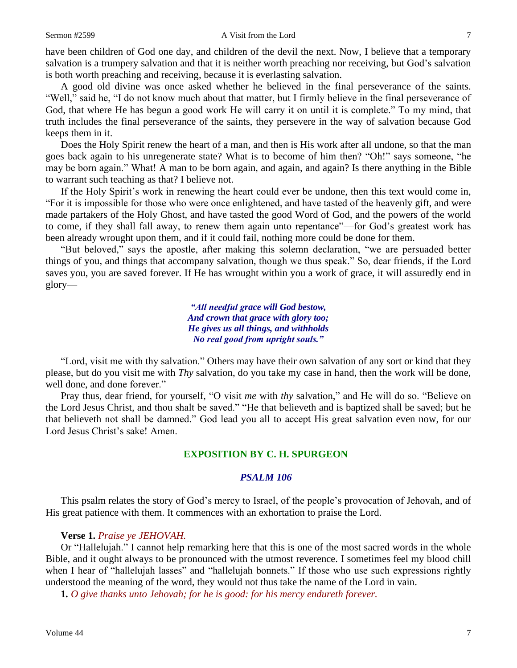have been children of God one day, and children of the devil the next. Now, I believe that a temporary salvation is a trumpery salvation and that it is neither worth preaching nor receiving, but God's salvation is both worth preaching and receiving, because it is everlasting salvation.

A good old divine was once asked whether he believed in the final perseverance of the saints. "Well," said he, "I do not know much about that matter, but I firmly believe in the final perseverance of God, that where He has begun a good work He will carry it on until it is complete." To my mind, that truth includes the final perseverance of the saints, they persevere in the way of salvation because God keeps them in it.

Does the Holy Spirit renew the heart of a man, and then is His work after all undone, so that the man goes back again to his unregenerate state? What is to become of him then? "Oh!" says someone, "he may be born again." What! A man to be born again, and again, and again? Is there anything in the Bible to warrant such teaching as that? I believe not.

If the Holy Spirit's work in renewing the heart could ever be undone, then this text would come in, "For it is impossible for those who were once enlightened, and have tasted of the heavenly gift, and were made partakers of the Holy Ghost, and have tasted the good Word of God, and the powers of the world to come, if they shall fall away, to renew them again unto repentance"—for God's greatest work has been already wrought upon them, and if it could fail, nothing more could be done for them.

"But beloved," says the apostle, after making this solemn declaration, "we are persuaded better things of you, and things that accompany salvation, though we thus speak." So, dear friends, if the Lord saves you, you are saved forever. If He has wrought within you a work of grace, it will assuredly end in glory—

> *"All needful grace will God bestow, And crown that grace with glory too; He gives us all things, and withholds No real good from upright souls."*

"Lord, visit me with thy salvation." Others may have their own salvation of any sort or kind that they please, but do you visit me with *Thy* salvation, do you take my case in hand, then the work will be done, well done, and done forever."

Pray thus, dear friend, for yourself, "O visit *me* with *thy* salvation," and He will do so. "Believe on the Lord Jesus Christ, and thou shalt be saved." "He that believeth and is baptized shall be saved; but he that believeth not shall be damned." God lead you all to accept His great salvation even now, for our Lord Jesus Christ's sake! Amen.

## **EXPOSITION BY C. H. SPURGEON**

## *PSALM 106*

This psalm relates the story of God's mercy to Israel, of the people's provocation of Jehovah, and of His great patience with them. It commences with an exhortation to praise the Lord.

#### **Verse 1.** *Praise ye JEHOVAH.*

Or "Hallelujah." I cannot help remarking here that this is one of the most sacred words in the whole Bible, and it ought always to be pronounced with the utmost reverence. I sometimes feel my blood chill when I hear of "hallelujah lasses" and "hallelujah bonnets." If those who use such expressions rightly understood the meaning of the word, they would not thus take the name of the Lord in vain.

**1***. O give thanks unto Jehovah; for he is good: for his mercy endureth forever.*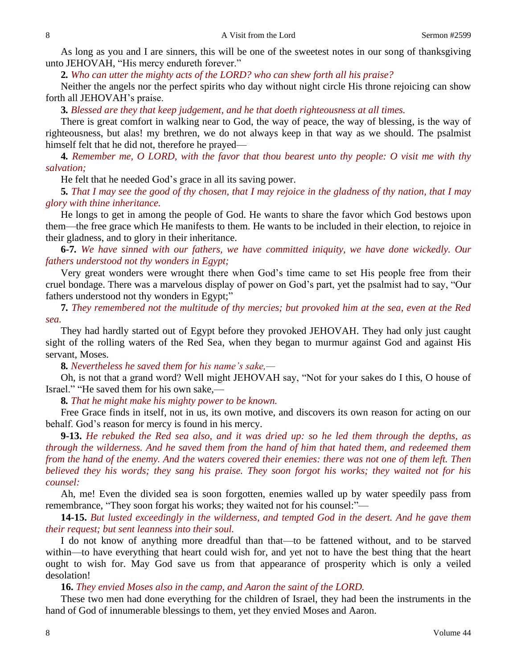As long as you and I are sinners, this will be one of the sweetest notes in our song of thanksgiving unto JEHOVAH, "His mercy endureth forever."

**2***. Who can utter the mighty acts of the LORD? who can shew forth all his praise?*

Neither the angels nor the perfect spirits who day without night circle His throne rejoicing can show forth all JEHOVAH's praise.

**3***. Blessed are they that keep judgement, and he that doeth righteousness at all times.*

There is great comfort in walking near to God, the way of peace, the way of blessing, is the way of righteousness, but alas! my brethren, we do not always keep in that way as we should. The psalmist himself felt that he did not, therefore he prayed—

**4***. Remember me, O LORD, with the favor that thou bearest unto thy people: O visit me with thy salvation;*

He felt that he needed God's grace in all its saving power.

**5***. That I may see the good of thy chosen, that I may rejoice in the gladness of thy nation, that I may glory with thine inheritance.*

He longs to get in among the people of God. He wants to share the favor which God bestows upon them—the free grace which He manifests to them. He wants to be included in their election, to rejoice in their gladness, and to glory in their inheritance.

**6***-***7***. We have sinned with our fathers, we have committed iniquity, we have done wickedly. Our fathers understood not thy wonders in Egypt;*

Very great wonders were wrought there when God's time came to set His people free from their cruel bondage. There was a marvelous display of power on God's part, yet the psalmist had to say, "Our fathers understood not thy wonders in Egypt;"

**7***. They remembered not the multitude of thy mercies; but provoked him at the sea, even at the Red sea.*

They had hardly started out of Egypt before they provoked JEHOVAH. They had only just caught sight of the rolling waters of the Red Sea, when they began to murmur against God and against His servant, Moses.

**8***. Nevertheless he saved them for his name's sake,—*

Oh, is not that a grand word? Well might JEHOVAH say, "Not for your sakes do I this, O house of Israel." "He saved them for his own sake,—

**8***. That he might make his mighty power to be known.*

Free Grace finds in itself, not in us, its own motive, and discovers its own reason for acting on our behalf. God's reason for mercy is found in his mercy.

**9-13.** *He rebuked the Red sea also, and it was dried up: so he led them through the depths, as through the wilderness. And he saved them from the hand of him that hated them, and redeemed them from the hand of the enemy. And the waters covered their enemies: there was not one of them left. Then believed they his words; they sang his praise. They soon forgot his works; they waited not for his counsel:*

Ah, me! Even the divided sea is soon forgotten, enemies walled up by water speedily pass from remembrance, "They soon forgat his works; they waited not for his counsel:"—

**14-15.** *But lusted exceedingly in the wilderness, and tempted God in the desert. And he gave them their request; but sent leanness into their soul.*

I do not know of anything more dreadful than that—to be fattened without, and to be starved within—to have everything that heart could wish for, and yet not to have the best thing that the heart ought to wish for. May God save us from that appearance of prosperity which is only a veiled desolation!

**16.** *They envied Moses also in the camp, and Aaron the saint of the LORD.*

These two men had done everything for the children of Israel, they had been the instruments in the hand of God of innumerable blessings to them, yet they envied Moses and Aaron.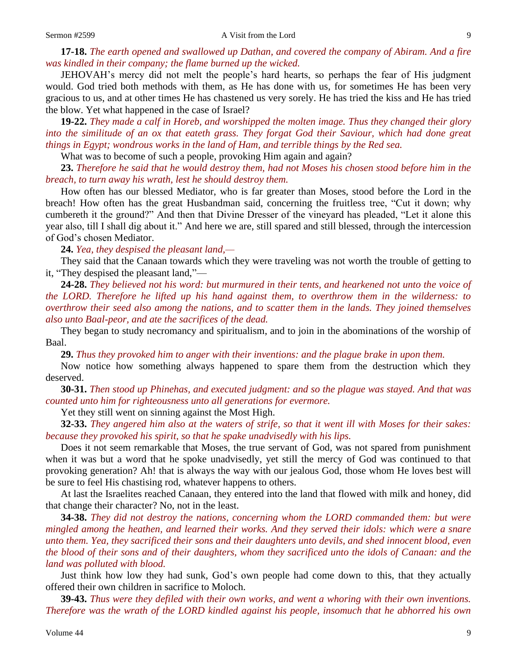**17-18.** *The earth opened and swallowed up Dathan, and covered the company of Abiram. And a fire was kindled in their company; the flame burned up the wicked.*

JEHOVAH's mercy did not melt the people's hard hearts, so perhaps the fear of His judgment would. God tried both methods with them, as He has done with us, for sometimes He has been very gracious to us, and at other times He has chastened us very sorely. He has tried the kiss and He has tried the blow. Yet what happened in the case of Israel?

**19-22.** *They made a calf in Horeb, and worshipped the molten image. Thus they changed their glory into the similitude of an ox that eateth grass. They forgat God their Saviour, which had done great things in Egypt; wondrous works in the land of Ham, and terrible things by the Red sea.*

What was to become of such a people, provoking Him again and again?

**23.** *Therefore he said that he would destroy them, had not Moses his chosen stood before him in the breach, to turn away his wrath, lest he should destroy them.*

How often has our blessed Mediator, who is far greater than Moses, stood before the Lord in the breach! How often has the great Husbandman said, concerning the fruitless tree, "Cut it down; why cumbereth it the ground?" And then that Divine Dresser of the vineyard has pleaded, "Let it alone this year also, till I shall dig about it." And here we are, still spared and still blessed, through the intercession of God's chosen Mediator.

**24.** *Yea, they despised the pleasant land,—*

They said that the Canaan towards which they were traveling was not worth the trouble of getting to it, "They despised the pleasant land,"—

**24-28.** *They believed not his word: but murmured in their tents, and hearkened not unto the voice of the LORD. Therefore he lifted up his hand against them, to overthrow them in the wilderness: to overthrow their seed also among the nations, and to scatter them in the lands. They joined themselves also unto Baal-peor, and ate the sacrifices of the dead.*

They began to study necromancy and spiritualism, and to join in the abominations of the worship of Baal.

**29.** *Thus they provoked him to anger with their inventions: and the plague brake in upon them.*

Now notice how something always happened to spare them from the destruction which they deserved.

**30-31.** *Then stood up Phinehas, and executed judgment: and so the plague was stayed. And that was counted unto him for righteousness unto all generations for evermore.*

Yet they still went on sinning against the Most High.

**32-33.** *They angered him also at the waters of strife, so that it went ill with Moses for their sakes: because they provoked his spirit, so that he spake unadvisedly with his lips.*

Does it not seem remarkable that Moses, the true servant of God, was not spared from punishment when it was but a word that he spoke unadvisedly, yet still the mercy of God was continued to that provoking generation? Ah! that is always the way with our jealous God, those whom He loves best will be sure to feel His chastising rod, whatever happens to others.

At last the Israelites reached Canaan, they entered into the land that flowed with milk and honey, did that change their character? No, not in the least.

**34-38.** *They did not destroy the nations, concerning whom the LORD commanded them: but were mingled among the heathen, and learned their works. And they served their idols: which were a snare unto them. Yea, they sacrificed their sons and their daughters unto devils, and shed innocent blood, even the blood of their sons and of their daughters, whom they sacrificed unto the idols of Canaan: and the land was polluted with blood.*

Just think how low they had sunk, God's own people had come down to this, that they actually offered their own children in sacrifice to Moloch.

**39-43.** *Thus were they defiled with their own works, and went a whoring with their own inventions. Therefore was the wrath of the LORD kindled against his people, insomuch that he abhorred his own*